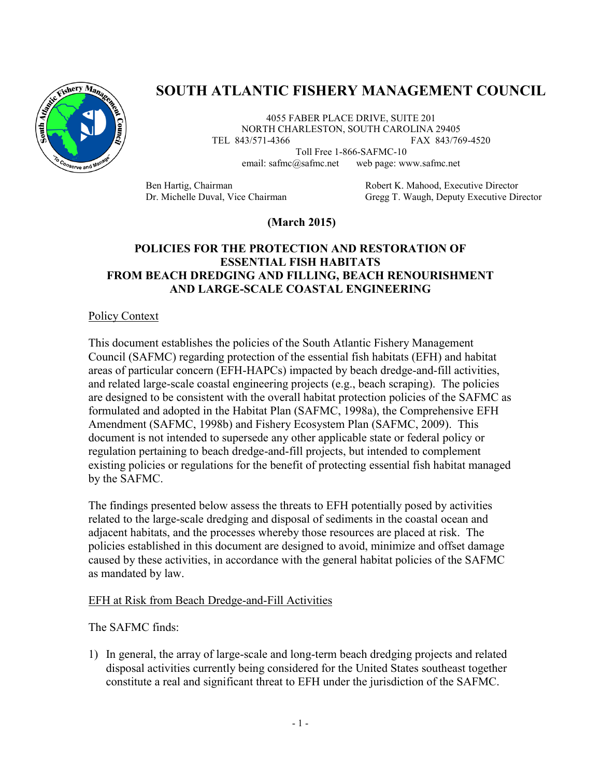

# **SOUTH ATLANTIC FISHERY MANAGEMENT COUNCIL**

4055 FABER PLACE DRIVE, SUITE 201 NORTH CHARLESTON, SOUTH CAROLINA 29405 TEL 843/571-4366 FAX 843/769-4520

> Toll Free 1-866-SAFMC-10 email: safmc@safmc.net web page: www.safmc.net

Ben Hartig, Chairman **Robert K. Mahood, Executive Director** Dr. Michelle Duval, Vice Chairman Gregg T. Waugh, Deputy Executive Director

## **(March 2015)**

## **POLICIES FOR THE PROTECTION AND RESTORATION OF ESSENTIAL FISH HABITATS FROM BEACH DREDGING AND FILLING, BEACH RENOURISHMENT AND LARGE-SCALE COASTAL ENGINEERING**

### Policy Context

This document establishes the policies of the South Atlantic Fishery Management Council (SAFMC) regarding protection of the essential fish habitats (EFH) and habitat areas of particular concern (EFH-HAPCs) impacted by beach dredge-and-fill activities, and related large-scale coastal engineering projects (e.g., beach scraping). The policies are designed to be consistent with the overall habitat protection policies of the SAFMC as formulated and adopted in the Habitat Plan (SAFMC, 1998a), the Comprehensive EFH Amendment (SAFMC, 1998b) and Fishery Ecosystem Plan (SAFMC, 2009). This document is not intended to supersede any other applicable state or federal policy or regulation pertaining to beach dredge-and-fill projects, but intended to complement existing policies or regulations for the benefit of protecting essential fish habitat managed by the SAFMC.

The findings presented below assess the threats to EFH potentially posed by activities related to the large-scale dredging and disposal of sediments in the coastal ocean and adjacent habitats, and the processes whereby those resources are placed at risk. The policies established in this document are designed to avoid, minimize and offset damage caused by these activities, in accordance with the general habitat policies of the SAFMC as mandated by law.

#### EFH at Risk from Beach Dredge-and-Fill Activities

#### The SAFMC finds:

1) In general, the array of large-scale and long-term beach dredging projects and related disposal activities currently being considered for the United States southeast together constitute a real and significant threat to EFH under the jurisdiction of the SAFMC.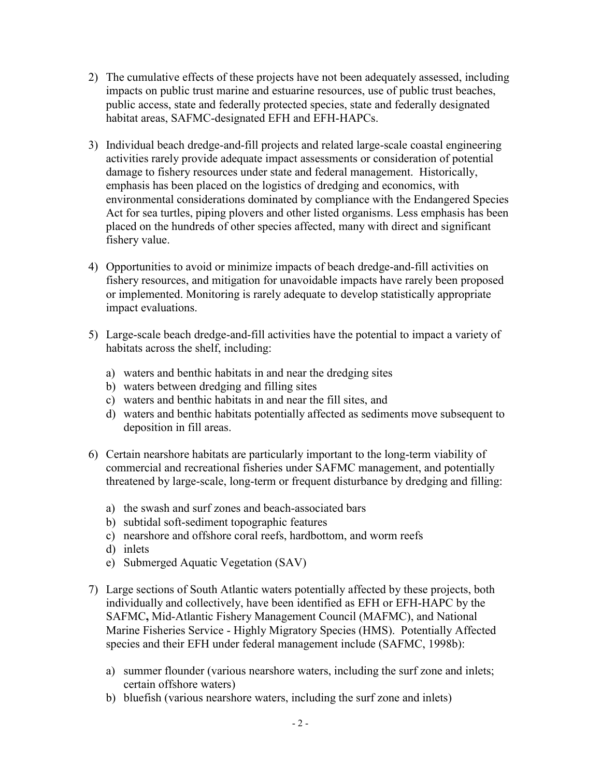- 2) The cumulative effects of these projects have not been adequately assessed, including impacts on public trust marine and estuarine resources, use of public trust beaches, public access, state and federally protected species, state and federally designated habitat areas, SAFMC-designated EFH and EFH-HAPCs.
- 3) Individual beach dredge-and-fill projects and related large-scale coastal engineering activities rarely provide adequate impact assessments or consideration of potential damage to fishery resources under state and federal management. Historically, emphasis has been placed on the logistics of dredging and economics, with environmental considerations dominated by compliance with the Endangered Species Act for sea turtles, piping plovers and other listed organisms. Less emphasis has been placed on the hundreds of other species affected, many with direct and significant fishery value.
- 4) Opportunities to avoid or minimize impacts of beach dredge-and-fill activities on fishery resources, and mitigation for unavoidable impacts have rarely been proposed or implemented. Monitoring is rarely adequate to develop statistically appropriate impact evaluations.
- 5) Large-scale beach dredge-and-fill activities have the potential to impact a variety of habitats across the shelf, including:
	- a) waters and benthic habitats in and near the dredging sites
	- b) waters between dredging and filling sites
	- c) waters and benthic habitats in and near the fill sites, and
	- d) waters and benthic habitats potentially affected as sediments move subsequent to deposition in fill areas.
- 6) Certain nearshore habitats are particularly important to the long-term viability of commercial and recreational fisheries under SAFMC management, and potentially threatened by large-scale, long-term or frequent disturbance by dredging and filling:
	- a) the swash and surf zones and beach-associated bars
	- b) subtidal soft-sediment topographic features
	- c) nearshore and offshore coral reefs, hardbottom, and worm reefs
	- d) inlets
	- e) Submerged Aquatic Vegetation (SAV)
- 7) Large sections of South Atlantic waters potentially affected by these projects, both individually and collectively, have been identified as EFH or EFH-HAPC by the SAFMC**,** Mid-Atlantic Fishery Management Council (MAFMC), and National Marine Fisheries Service - Highly Migratory Species (HMS). Potentially Affected species and their EFH under federal management include (SAFMC, 1998b):
	- a) summer flounder (various nearshore waters, including the surf zone and inlets; certain offshore waters)
	- b) bluefish (various nearshore waters, including the surf zone and inlets)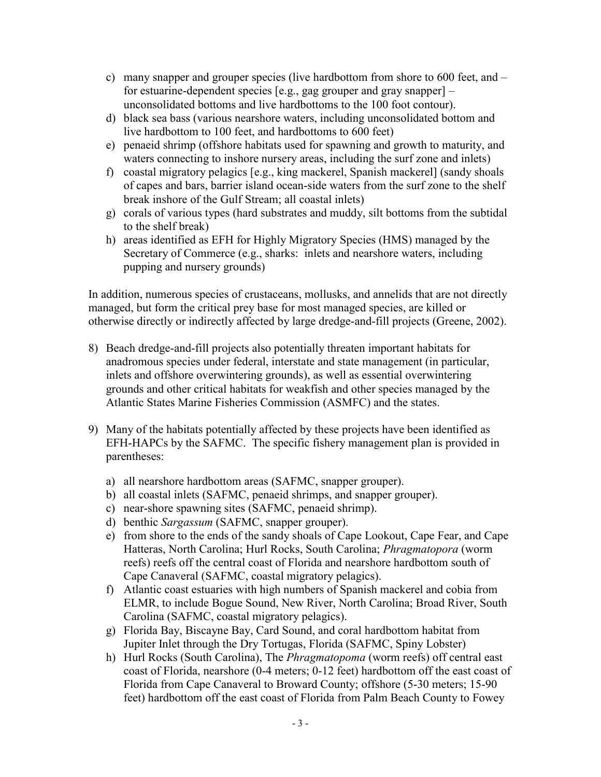- c) many snapper and grouper species (live hardbottom from shore to 600 feet, and for estuarine-dependent species [e.g., gag grouper and gray snapper] – unconsolidated bottoms and live hardbottoms to the 100 foot contour).
- d) black sea bass (various nearshore waters, including unconsolidated bottom and live hardbottom to 100 feet, and hardbottoms to 600 feet)
- e) penaeid shrimp (offshore habitats used for spawning and growth to maturity, and waters connecting to inshore nursery areas, including the surf zone and inlets)
- f) coastal migratory pelagics [e.g., king mackerel, Spanish mackerel] (sandy shoals of capes and bars, barrier island ocean-side waters from the surf zone to the shelf break inshore of the Gulf Stream; all coastal inlets)
- g) corals of various types (hard substrates and muddy, silt bottoms from the subtidal to the shelf break)
- h) areas identified as EFH for Highly Migratory Species (HMS) managed by the Secretary of Commerce (e.g., sharks: inlets and nearshore waters, including pupping and nursery grounds)

In addition, numerous species of crustaceans, mollusks, and annelids that are not directly managed, but form the critical prey base for most managed species, are killed or otherwise directly or indirectly affected by large dredge-and-fill projects (Greene, 2002).

- 8) Beach dredge-and-fill projects also potentially threaten important habitats for anadromous species under federal, interstate and state management (in particular, inlets and offshore overwintering grounds), as well as essential overwintering grounds and other critical habitats for weakfish and other species managed by the Atlantic States Marine Fisheries Commission (ASMFC) and the states.
- 9) Many of the habitats potentially affected by these projects have been identified as EFH-HAPCs by the SAFMC. The specific fishery management plan is provided in parentheses:
	- a) all nearshore hardbottom areas (SAFMC, snapper grouper).
	- b) all coastal inlets (SAFMC, penaeid shrimps, and snapper grouper).
	- c) near-shore spawning sites (SAFMC, penaeid shrimp).
	- d) benthic *Sargassum* (SAFMC, snapper grouper).
	- e) from shore to the ends of the sandy shoals of Cape Lookout, Cape Fear, and Cape Hatteras, North Carolina; Hurl Rocks, South Carolina; *Phragmatopora* (worm reefs) reefs off the central coast of Florida and nearshore hardbottom south of Cape Canaveral (SAFMC, coastal migratory pelagics).
	- f) Atlantic coast estuaries with high numbers of Spanish mackerel and cobia from ELMR, to include Bogue Sound, New River, North Carolina; Broad River, South Carolina (SAFMC, coastal migratory pelagics).
	- g) Florida Bay, Biscayne Bay, Card Sound, and coral hardbottom habitat from Jupiter Inlet through the Dry Tortugas, Florida (SAFMC, Spiny Lobster)
	- h) Hurl Rocks (South Carolina), The *Phragmatopoma* (worm reefs) off central east coast of Florida, nearshore (0-4 meters; 0-12 feet) hardbottom off the east coast of Florida from Cape Canaveral to Broward County; offshore (5-30 meters; 15-90 feet) hardbottom off the east coast of Florida from Palm Beach County to Fowey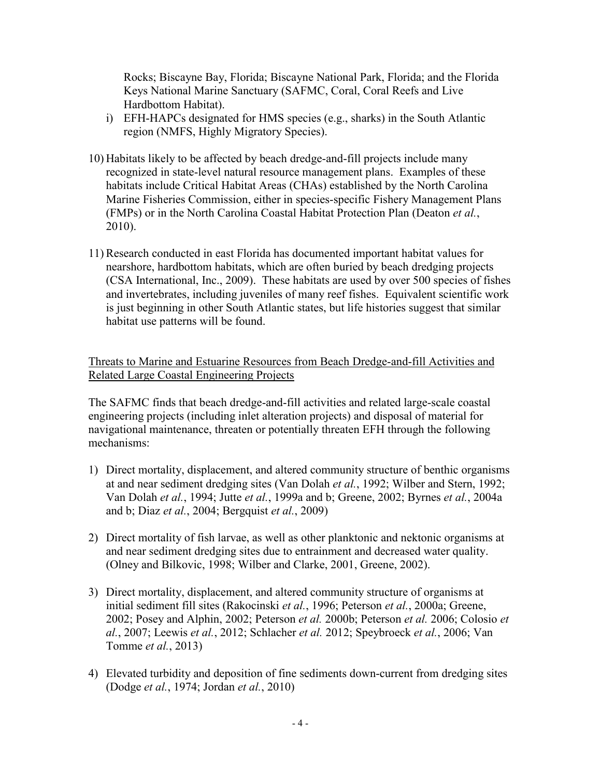Rocks; Biscayne Bay, Florida; Biscayne National Park, Florida; and the Florida Keys National Marine Sanctuary (SAFMC, Coral, Coral Reefs and Live Hardbottom Habitat).

- i) EFH-HAPCs designated for HMS species (e.g., sharks) in the South Atlantic region (NMFS, Highly Migratory Species).
- 10) Habitats likely to be affected by beach dredge-and-fill projects include many recognized in state-level natural resource management plans. Examples of these habitats include Critical Habitat Areas (CHAs) established by the North Carolina Marine Fisheries Commission, either in species-specific Fishery Management Plans (FMPs) or in the North Carolina Coastal Habitat Protection Plan (Deaton *et al.*, 2010).
- 11)Research conducted in east Florida has documented important habitat values for nearshore, hardbottom habitats, which are often buried by beach dredging projects (CSA International, Inc., 2009). These habitats are used by over 500 species of fishes and invertebrates, including juveniles of many reef fishes. Equivalent scientific work is just beginning in other South Atlantic states, but life histories suggest that similar habitat use patterns will be found.

Threats to Marine and Estuarine Resources from Beach Dredge-and-fill Activities and Related Large Coastal Engineering Projects

The SAFMC finds that beach dredge-and-fill activities and related large-scale coastal engineering projects (including inlet alteration projects) and disposal of material for navigational maintenance, threaten or potentially threaten EFH through the following mechanisms:

- 1) Direct mortality, displacement, and altered community structure of benthic organisms at and near sediment dredging sites (Van Dolah *et al.*, 1992; Wilber and Stern, 1992; Van Dolah *et al.*, 1994; Jutte *et al.*, 1999a and b; Greene, 2002; Byrnes *et al.*, 2004a and b; Diaz *et al.*, 2004; Bergquist *et al.*, 2009)
- 2) Direct mortality of fish larvae, as well as other planktonic and nektonic organisms at and near sediment dredging sites due to entrainment and decreased water quality. (Olney and Bilkovic, 1998; Wilber and Clarke, 2001, Greene, 2002).
- 3) Direct mortality, displacement, and altered community structure of organisms at initial sediment fill sites (Rakocinski *et al.*, 1996; Peterson *et al.*, 2000a; Greene, 2002; Posey and Alphin, 2002; Peterson *et al.* 2000b; Peterson *et al.* 2006; Colosio *et al.*, 2007; Leewis *et al.*, 2012; Schlacher *et al.* 2012; Speybroeck *et al.*, 2006; Van Tomme *et al.*, 2013)
- 4) Elevated turbidity and deposition of fine sediments down-current from dredging sites (Dodge *et al.*, 1974; Jordan *et al.*, 2010)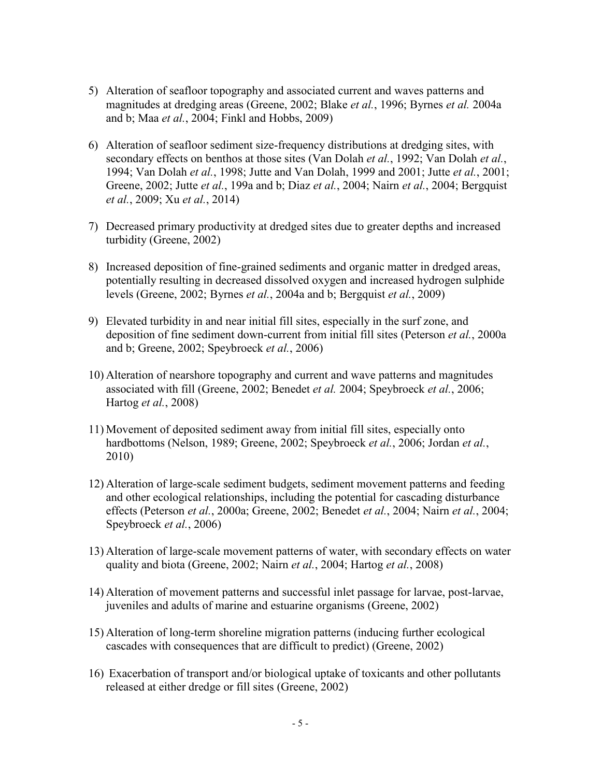- 5) Alteration of seafloor topography and associated current and waves patterns and magnitudes at dredging areas (Greene, 2002; Blake *et al.*, 1996; Byrnes *et al.* 2004a and b; Maa *et al.*, 2004; Finkl and Hobbs, 2009)
- 6) Alteration of seafloor sediment size-frequency distributions at dredging sites, with secondary effects on benthos at those sites (Van Dolah *et al.*, 1992; Van Dolah *et al.*, 1994; Van Dolah *et al.*, 1998; Jutte and Van Dolah, 1999 and 2001; Jutte *et al.*, 2001; Greene, 2002; Jutte *et al.*, 199a and b; Diaz *et al.*, 2004; Nairn *et al.*, 2004; Bergquist *et al.*, 2009; Xu *et al.*, 2014)
- 7) Decreased primary productivity at dredged sites due to greater depths and increased turbidity (Greene, 2002)
- 8) Increased deposition of fine-grained sediments and organic matter in dredged areas, potentially resulting in decreased dissolved oxygen and increased hydrogen sulphide levels (Greene, 2002; Byrnes *et al.*, 2004a and b; Bergquist *et al.*, 2009)
- 9) Elevated turbidity in and near initial fill sites, especially in the surf zone, and deposition of fine sediment down-current from initial fill sites (Peterson *et al.*, 2000a and b; Greene, 2002; Speybroeck *et al.*, 2006)
- 10) Alteration of nearshore topography and current and wave patterns and magnitudes associated with fill (Greene, 2002; Benedet *et al.* 2004; Speybroeck *et al.*, 2006; Hartog *et al.*, 2008)
- 11) Movement of deposited sediment away from initial fill sites, especially onto hardbottoms (Nelson, 1989; Greene, 2002; Speybroeck *et al.*, 2006; Jordan *et al.*, 2010)
- 12) Alteration of large-scale sediment budgets, sediment movement patterns and feeding and other ecological relationships, including the potential for cascading disturbance effects (Peterson *et al.*, 2000a; Greene, 2002; Benedet *et al.*, 2004; Nairn *et al.*, 2004; Speybroeck *et al.*, 2006)
- 13) Alteration of large-scale movement patterns of water, with secondary effects on water quality and biota (Greene, 2002; Nairn *et al.*, 2004; Hartog *et al.*, 2008)
- 14) Alteration of movement patterns and successful inlet passage for larvae, post-larvae, juveniles and adults of marine and estuarine organisms (Greene, 2002)
- 15) Alteration of long-term shoreline migration patterns (inducing further ecological cascades with consequences that are difficult to predict) (Greene, 2002)
- 16) Exacerbation of transport and/or biological uptake of toxicants and other pollutants released at either dredge or fill sites (Greene, 2002)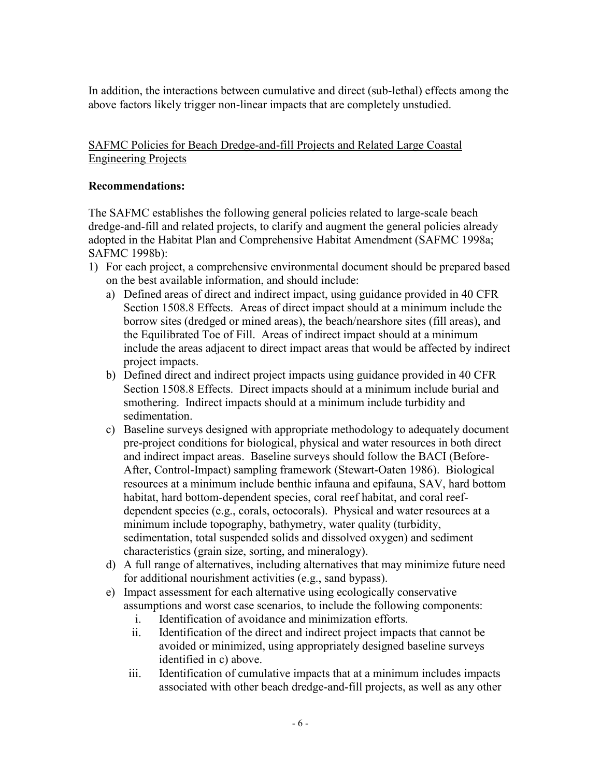In addition, the interactions between cumulative and direct (sub-lethal) effects among the above factors likely trigger non-linear impacts that are completely unstudied.

## SAFMC Policies for Beach Dredge-and-fill Projects and Related Large Coastal Engineering Projects

## **Recommendations:**

The SAFMC establishes the following general policies related to large-scale beach dredge-and-fill and related projects, to clarify and augment the general policies already adopted in the Habitat Plan and Comprehensive Habitat Amendment (SAFMC 1998a; SAFMC 1998b):

- 1) For each project, a comprehensive environmental document should be prepared based on the best available information, and should include:
	- a) Defined areas of direct and indirect impact, using guidance provided in 40 CFR Section 1508.8 Effects. Areas of direct impact should at a minimum include the borrow sites (dredged or mined areas), the beach/nearshore sites (fill areas), and the Equilibrated Toe of Fill. Areas of indirect impact should at a minimum include the areas adjacent to direct impact areas that would be affected by indirect project impacts.
	- b) Defined direct and indirect project impacts using guidance provided in 40 CFR Section 1508.8 Effects. Direct impacts should at a minimum include burial and smothering. Indirect impacts should at a minimum include turbidity and sedimentation.
	- c) Baseline surveys designed with appropriate methodology to adequately document pre-project conditions for biological, physical and water resources in both direct and indirect impact areas. Baseline surveys should follow the BACI (Before-After, Control-Impact) sampling framework (Stewart-Oaten 1986). Biological resources at a minimum include benthic infauna and epifauna, SAV, hard bottom habitat, hard bottom-dependent species, coral reef habitat, and coral reefdependent species (e.g., corals, octocorals). Physical and water resources at a minimum include topography, bathymetry, water quality (turbidity, sedimentation, total suspended solids and dissolved oxygen) and sediment characteristics (grain size, sorting, and mineralogy).
	- d) A full range of alternatives, including alternatives that may minimize future need for additional nourishment activities (e.g., sand bypass).
	- e) Impact assessment for each alternative using ecologically conservative assumptions and worst case scenarios, to include the following components:
		- i. Identification of avoidance and minimization efforts.
		- ii. Identification of the direct and indirect project impacts that cannot be avoided or minimized, using appropriately designed baseline surveys identified in c) above.
		- iii. Identification of cumulative impacts that at a minimum includes impacts associated with other beach dredge-and-fill projects, as well as any other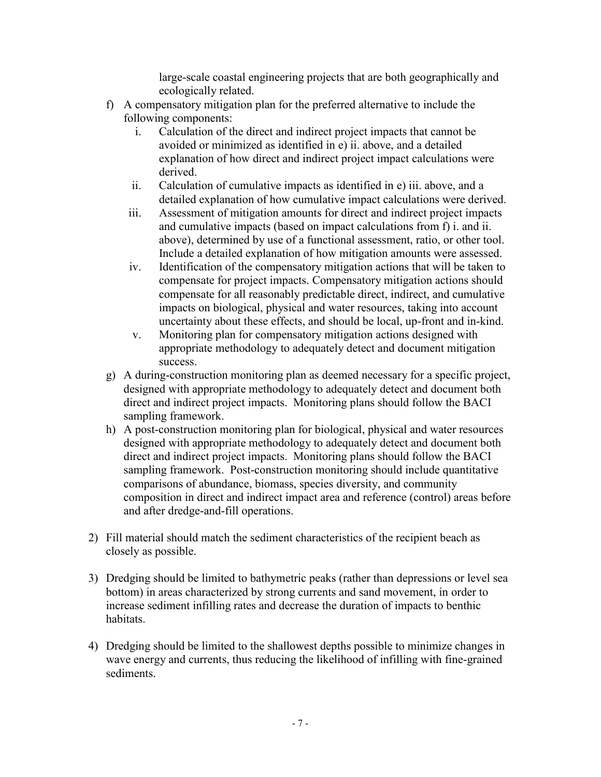large-scale coastal engineering projects that are both geographically and ecologically related.

- f) A compensatory mitigation plan for the preferred alternative to include the following components:
	- i. Calculation of the direct and indirect project impacts that cannot be avoided or minimized as identified in e) ii. above, and a detailed explanation of how direct and indirect project impact calculations were derived.
	- ii. Calculation of cumulative impacts as identified in e) iii. above, and a detailed explanation of how cumulative impact calculations were derived.
	- iii. Assessment of mitigation amounts for direct and indirect project impacts and cumulative impacts (based on impact calculations from f) i. and ii. above), determined by use of a functional assessment, ratio, or other tool. Include a detailed explanation of how mitigation amounts were assessed.
	- iv. Identification of the compensatory mitigation actions that will be taken to compensate for project impacts. Compensatory mitigation actions should compensate for all reasonably predictable direct, indirect, and cumulative impacts on biological, physical and water resources, taking into account uncertainty about these effects, and should be local, up-front and in-kind.
	- v. Monitoring plan for compensatory mitigation actions designed with appropriate methodology to adequately detect and document mitigation success.
- g) A during-construction monitoring plan as deemed necessary for a specific project, designed with appropriate methodology to adequately detect and document both direct and indirect project impacts. Monitoring plans should follow the BACI sampling framework.
- h) A post-construction monitoring plan for biological, physical and water resources designed with appropriate methodology to adequately detect and document both direct and indirect project impacts. Monitoring plans should follow the BACI sampling framework. Post-construction monitoring should include quantitative comparisons of abundance, biomass, species diversity, and community composition in direct and indirect impact area and reference (control) areas before and after dredge-and-fill operations.
- 2) Fill material should match the sediment characteristics of the recipient beach as closely as possible.
- 3) Dredging should be limited to bathymetric peaks (rather than depressions or level sea bottom) in areas characterized by strong currents and sand movement, in order to increase sediment infilling rates and decrease the duration of impacts to benthic habitats.
- 4) Dredging should be limited to the shallowest depths possible to minimize changes in wave energy and currents, thus reducing the likelihood of infilling with fine-grained sediments.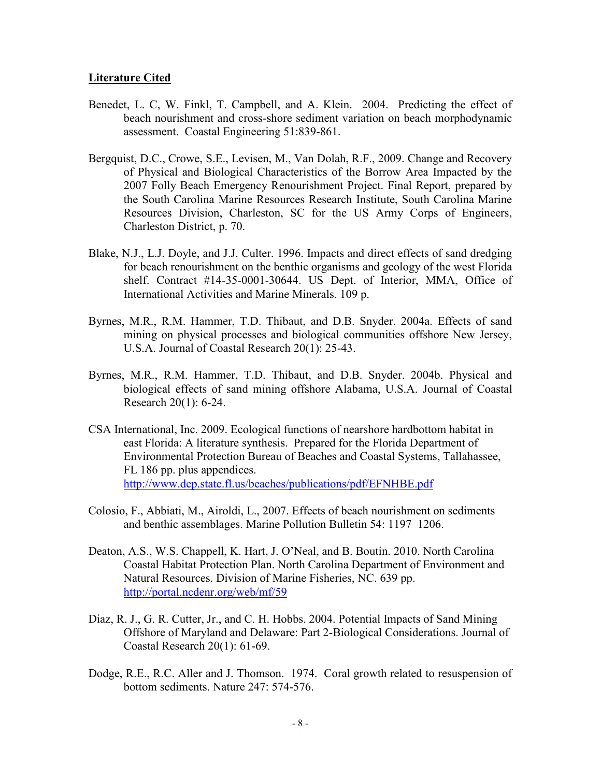#### **Literature Cited**

- Benedet, L. C, W. Finkl, T. Campbell, and A. Klein. 2004. Predicting the effect of beach nourishment and cross-shore sediment variation on beach morphodynamic assessment. Coastal Engineering 51:839-861.
- Bergquist, D.C., Crowe, S.E., Levisen, M., Van Dolah, R.F., 2009. Change and Recovery of Physical and Biological Characteristics of the Borrow Area Impacted by the 2007 Folly Beach Emergency Renourishment Project. Final Report, prepared by the South Carolina Marine Resources Research Institute, South Carolina Marine Resources Division, Charleston, SC for the US Army Corps of Engineers, Charleston District, p. 70.
- Blake, N.J., L.J. Doyle, and J.J. Culter. 1996. Impacts and direct effects of sand dredging for beach renourishment on the benthic organisms and geology of the west Florida shelf. Contract #14-35-0001-30644. US Dept. of Interior, MMA, Office of International Activities and Marine Minerals. 109 p.
- Byrnes, M.R., R.M. Hammer, T.D. Thibaut, and D.B. Snyder. 2004a. Effects of sand mining on physical processes and biological communities offshore New Jersey, U.S.A. Journal of Coastal Research 20(1): 25-43.
- Byrnes, M.R., R.M. Hammer, T.D. Thibaut, and D.B. Snyder. 2004b. Physical and biological effects of sand mining offshore Alabama, U.S.A. Journal of Coastal Research 20(1): 6-24.
- CSA International, Inc. 2009. Ecological functions of nearshore hardbottom habitat in east Florida: A literature synthesis. Prepared for the Florida Department of Environmental Protection Bureau of Beaches and Coastal Systems, Tallahassee, FL 186 pp. plus appendices. <http://www.dep.state.fl.us/beaches/publications/pdf/EFNHBE.pdf>
- Colosio, F., Abbiati, M., Airoldi, L., 2007. Effects of beach nourishment on sediments and benthic assemblages. Marine Pollution Bulletin 54: 1197–1206.
- Deaton, A.S., W.S. Chappell, K. Hart, J. O'Neal, and B. Boutin. 2010. North Carolina Coastal Habitat Protection Plan. North Carolina Department of Environment and Natural Resources. Division of Marine Fisheries, NC. 639 pp. <http://portal.ncdenr.org/web/mf/59>
- Diaz, R. J., G. R. Cutter, Jr., and C. H. Hobbs. 2004. Potential Impacts of Sand Mining Offshore of Maryland and Delaware: Part 2-Biological Considerations. Journal of Coastal Research 20(1): 61-69.
- Dodge, R.E., R.C. Aller and J. Thomson. 1974. Coral growth related to resuspension of bottom sediments. Nature 247: 574-576.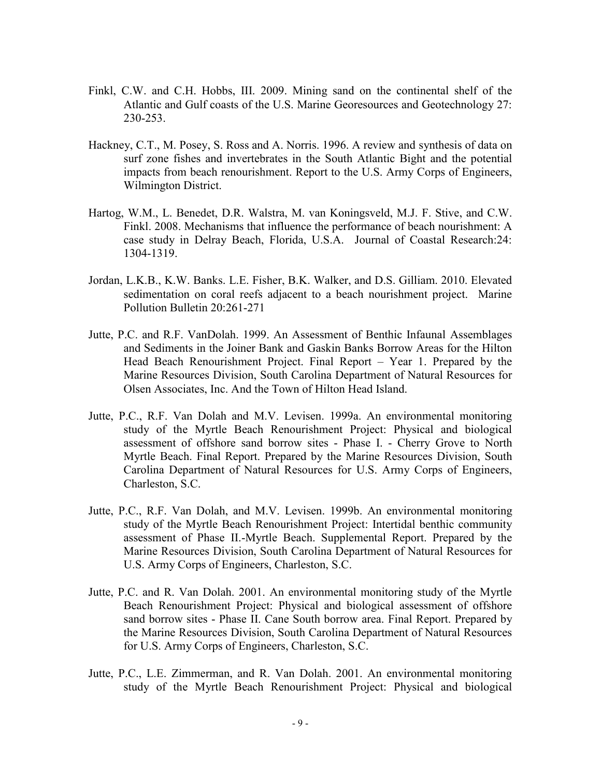- Finkl, C.W. and C.H. Hobbs, III. 2009. Mining sand on the continental shelf of the Atlantic and Gulf coasts of the U.S. Marine Georesources and Geotechnology 27: 230-253.
- Hackney, C.T., M. Posey, S. Ross and A. Norris. 1996. A review and synthesis of data on surf zone fishes and invertebrates in the South Atlantic Bight and the potential impacts from beach renourishment. Report to the U.S. Army Corps of Engineers, Wilmington District.
- Hartog, W.M., L. Benedet, D.R. Walstra, M. van Koningsveld, M.J. F. Stive, and C.W. Finkl. 2008. Mechanisms that influence the performance of beach nourishment: A case study in Delray Beach, Florida, U.S.A. Journal of Coastal Research:24: 1304-1319.
- Jordan, L.K.B., K.W. Banks. L.E. Fisher, B.K. Walker, and D.S. Gilliam. 2010. Elevated sedimentation on coral reefs adjacent to a beach nourishment project. Marine Pollution Bulletin 20:261-271
- Jutte, P.C. and R.F. VanDolah. 1999. An Assessment of Benthic Infaunal Assemblages and Sediments in the Joiner Bank and Gaskin Banks Borrow Areas for the Hilton Head Beach Renourishment Project. Final Report – Year 1. Prepared by the Marine Resources Division, South Carolina Department of Natural Resources for Olsen Associates, Inc. And the Town of Hilton Head Island.
- Jutte, P.C., R.F. Van Dolah and M.V. Levisen. 1999a. An environmental monitoring study of the Myrtle Beach Renourishment Project: Physical and biological assessment of offshore sand borrow sites - Phase I. - Cherry Grove to North Myrtle Beach. Final Report. Prepared by the Marine Resources Division, South Carolina Department of Natural Resources for U.S. Army Corps of Engineers, Charleston, S.C.
- Jutte, P.C., R.F. Van Dolah, and M.V. Levisen. 1999b. An environmental monitoring study of the Myrtle Beach Renourishment Project: Intertidal benthic community assessment of Phase II.-Myrtle Beach. Supplemental Report. Prepared by the Marine Resources Division, South Carolina Department of Natural Resources for U.S. Army Corps of Engineers, Charleston, S.C.
- Jutte, P.C. and R. Van Dolah. 2001. An environmental monitoring study of the Myrtle Beach Renourishment Project: Physical and biological assessment of offshore sand borrow sites - Phase II. Cane South borrow area. Final Report. Prepared by the Marine Resources Division, South Carolina Department of Natural Resources for U.S. Army Corps of Engineers, Charleston, S.C.
- Jutte, P.C., L.E. Zimmerman, and R. Van Dolah. 2001. An environmental monitoring study of the Myrtle Beach Renourishment Project: Physical and biological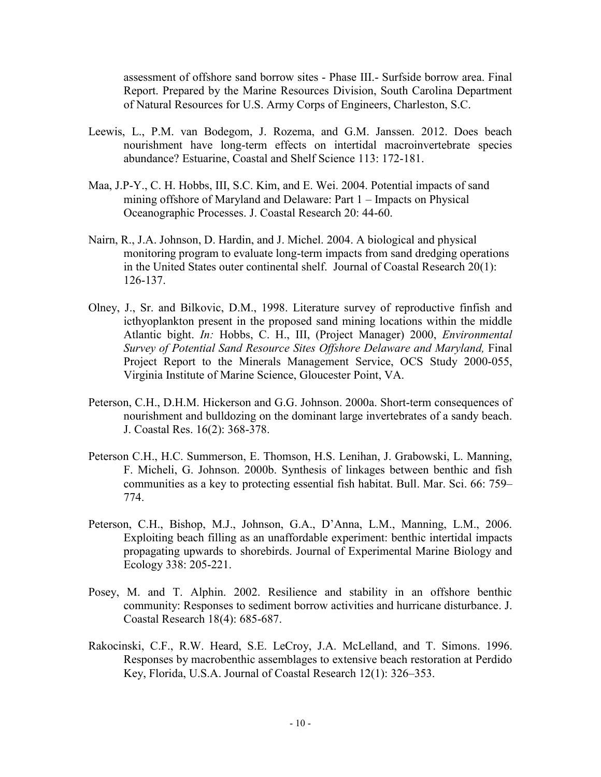assessment of offshore sand borrow sites - Phase III.- Surfside borrow area. Final Report. Prepared by the Marine Resources Division, South Carolina Department of Natural Resources for U.S. Army Corps of Engineers, Charleston, S.C.

- Leewis, L., P.M. van Bodegom, J. Rozema, and G.M. Janssen. 2012. Does beach nourishment have long-term effects on intertidal macroinvertebrate species abundance? Estuarine, Coastal and Shelf Science 113: 172-181.
- Maa, J.P-Y., C. H. Hobbs, III, S.C. Kim, and E. Wei. 2004. Potential impacts of sand mining offshore of Maryland and Delaware: Part 1 – Impacts on Physical Oceanographic Processes. J. Coastal Research 20: 44-60.
- Nairn, R., J.A. Johnson, D. Hardin, and J. Michel. 2004. A biological and physical monitoring program to evaluate long-term impacts from sand dredging operations in the United States outer continental shelf. Journal of Coastal Research 20(1): 126-137.
- Olney, J., Sr. and Bilkovic, D.M., 1998. Literature survey of reproductive finfish and icthyoplankton present in the proposed sand mining locations within the middle Atlantic bight. *In:* Hobbs, C. H., III, (Project Manager) 2000, *Environmental Survey of Potential Sand Resource Sites Offshore Delaware and Maryland,* Final Project Report to the Minerals Management Service, OCS Study 2000-055, Virginia Institute of Marine Science, Gloucester Point, VA.
- Peterson, C.H., D.H.M. Hickerson and G.G. Johnson. 2000a. Short-term consequences of nourishment and bulldozing on the dominant large invertebrates of a sandy beach. J. Coastal Res. 16(2): 368-378.
- Peterson C.H., H.C. Summerson, E. Thomson, H.S. Lenihan, J. Grabowski, L. Manning, F. Micheli, G. Johnson. 2000b. Synthesis of linkages between benthic and fish communities as a key to protecting essential fish habitat. Bull. Mar. Sci. 66: 759– 774.
- Peterson, C.H., Bishop, M.J., Johnson, G.A., D'Anna, L.M., Manning, L.M., 2006. Exploiting beach filling as an unaffordable experiment: benthic intertidal impacts propagating upwards to shorebirds. Journal of Experimental Marine Biology and Ecology 338: 205-221.
- Posey, M. and T. Alphin. 2002. Resilience and stability in an offshore benthic community: Responses to sediment borrow activities and hurricane disturbance. J. Coastal Research 18(4): 685-687.
- Rakocinski, C.F., R.W. Heard, S.E. LeCroy, J.A. McLelland, and T. Simons. 1996. Responses by macrobenthic assemblages to extensive beach restoration at Perdido Key, Florida, U.S.A. Journal of Coastal Research 12(1): 326–353.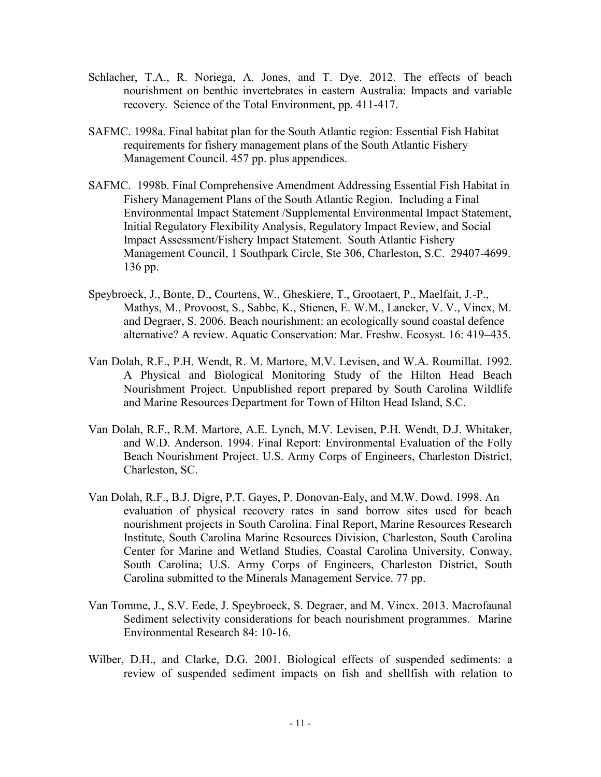- Schlacher, T.A., R. Noriega, A. Jones, and T. Dye. 2012. The effects of beach nourishment on benthic invertebrates in eastern Australia: Impacts and variable recovery. Science of the Total Environment, pp. 411-417.
- SAFMC. 1998a. Final habitat plan for the South Atlantic region: Essential Fish Habitat requirements for fishery management plans of the South Atlantic Fishery Management Council. 457 pp. plus appendices.
- SAFMC. 1998b. Final Comprehensive Amendment Addressing Essential Fish Habitat in Fishery Management Plans of the South Atlantic Region. Including a Final Environmental Impact Statement /Supplemental Environmental Impact Statement, Initial Regulatory Flexibility Analysis, Regulatory Impact Review, and Social Impact Assessment/Fishery Impact Statement. South Atlantic Fishery Management Council, 1 Southpark Circle, Ste 306, Charleston, S.C. 29407-4699. 136 pp.
- Speybroeck, J., Bonte, D., Courtens, W., Gheskiere, T., Grootaert, P., Maelfait, J.-P., Mathys, M., Provoost, S., Sabbe, K., Stienen, E. W.M., Lancker, V. V., Vincx, M. and Degraer, S. 2006. Beach nourishment: an ecologically sound coastal defence alternative? A review. Aquatic Conservation: Mar. Freshw. Ecosyst. 16: 419–435.
- Van Dolah, R.F., P.H. Wendt, R. M. Martore, M.V. Levisen, and W.A. Roumillat. 1992. A Physical and Biological Monitoring Study of the Hilton Head Beach Nourishment Project. Unpublished report prepared by South Carolina Wildlife and Marine Resources Department for Town of Hilton Head Island, S.C.
- Van Dolah, R.F., R.M. Martore, A.E. Lynch, M.V. Levisen, P.H. Wendt, D.J. Whitaker, and W.D. Anderson. 1994. Final Report: Environmental Evaluation of the Folly Beach Nourishment Project. U.S. Army Corps of Engineers, Charleston District, Charleston, SC.
- Van Dolah, R.F., B.J. Digre, P.T. Gayes, P. Donovan-Ealy, and M.W. Dowd. 1998. An evaluation of physical recovery rates in sand borrow sites used for beach nourishment projects in South Carolina. Final Report, Marine Resources Research Institute, South Carolina Marine Resources Division, Charleston, South Carolina Center for Marine and Wetland Studies, Coastal Carolina University, Conway, South Carolina; U.S. Army Corps of Engineers, Charleston District, South Carolina submitted to the Minerals Management Service. 77 pp.
- Van Tomme, J., S.V. Eede, J. Speybroeck, S. Degraer, and M. Vincx. 2013. Macrofaunal Sediment selectivity considerations for beach nourishment programmes. Marine Environmental Research 84: 10-16.
- Wilber, D.H., and Clarke, D.G. 2001. Biological effects of suspended sediments: a review of suspended sediment impacts on fish and shellfish with relation to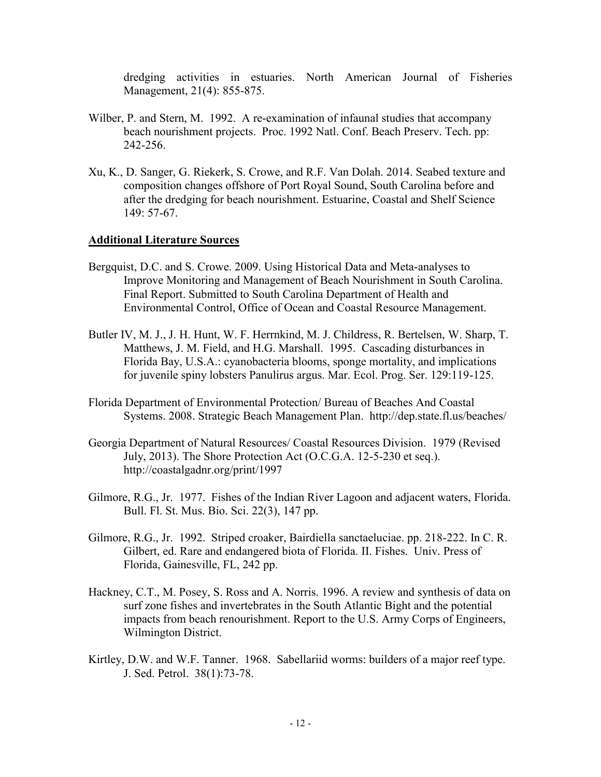dredging activities in estuaries. North American Journal of Fisheries Management, 21(4): 855-875.

- Wilber, P. and Stern, M. 1992. A re-examination of infaunal studies that accompany beach nourishment projects. Proc. 1992 Natl. Conf. Beach Preserv. Tech. pp: 242-256.
- Xu, K., D. Sanger, G. Riekerk, S. Crowe, and R.F. Van Dolah. 2014. Seabed texture and composition changes offshore of Port Royal Sound, South Carolina before and after the dredging for beach nourishment. Estuarine, Coastal and Shelf Science 149: 57-67.

#### **Additional Literature Sources**

- Bergquist, D.C. and S. Crowe. 2009. Using Historical Data and Meta-analyses to Improve Monitoring and Management of Beach Nourishment in South Carolina. Final Report. Submitted to South Carolina Department of Health and Environmental Control, Office of Ocean and Coastal Resource Management.
- Butler IV, M. J., J. H. Hunt, W. F. Herrnkind, M. J. Childress, R. Bertelsen, W. Sharp, T. Matthews, J. M. Field, and H.G. Marshall. 1995. Cascading disturbances in Florida Bay, U.S.A.: cyanobacteria blooms, sponge mortality, and implications for juvenile spiny lobsters Panulirus argus. Mar. Ecol. Prog. Ser. 129:119-125.
- Florida Department of Environmental Protection/ Bureau of Beaches And Coastal Systems. 2008. Strategic Beach Management Plan. http://dep.state.fl.us/beaches/
- Georgia Department of Natural Resources/ Coastal Resources Division. 1979 (Revised July, 2013). The Shore Protection Act (O.C.G.A. 12-5-230 et seq.). http://coastalgadnr.org/print/1997
- Gilmore, R.G., Jr. 1977. Fishes of the Indian River Lagoon and adjacent waters, Florida. Bull. Fl. St. Mus. Bio. Sci. 22(3), 147 pp.
- Gilmore, R.G., Jr. 1992. Striped croaker, Bairdiella sanctaeluciae. pp. 218-222. In C. R. Gilbert, ed. Rare and endangered biota of Florida. II. Fishes. Univ. Press of Florida, Gainesville, FL, 242 pp.
- Hackney, C.T., M. Posey, S. Ross and A. Norris. 1996. A review and synthesis of data on surf zone fishes and invertebrates in the South Atlantic Bight and the potential impacts from beach renourishment. Report to the U.S. Army Corps of Engineers, Wilmington District.
- Kirtley, D.W. and W.F. Tanner. 1968. Sabellariid worms: builders of a major reef type. J. Sed. Petrol. 38(1):73-78.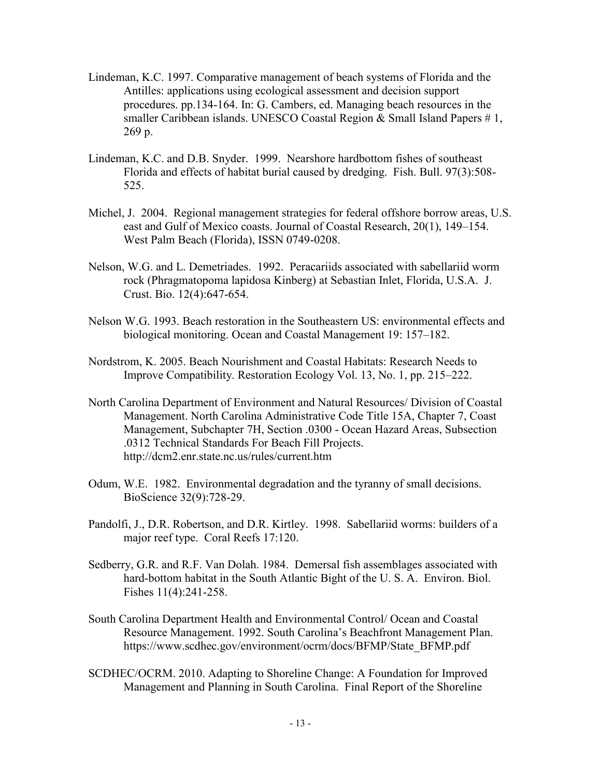- Lindeman, K.C. 1997. Comparative management of beach systems of Florida and the Antilles: applications using ecological assessment and decision support procedures. pp.134-164. In: G. Cambers, ed. Managing beach resources in the smaller Caribbean islands. UNESCO Coastal Region  $&$  Small Island Papers  $# 1$ , 269 p.
- Lindeman, K.C. and D.B. Snyder. 1999. Nearshore hardbottom fishes of southeast Florida and effects of habitat burial caused by dredging. Fish. Bull. 97(3):508- 525.
- Michel, J. 2004. Regional management strategies for federal offshore borrow areas, U.S. east and Gulf of Mexico coasts. Journal of Coastal Research, 20(1), 149–154. West Palm Beach (Florida), ISSN 0749-0208.
- Nelson, W.G. and L. Demetriades. 1992. Peracariids associated with sabellariid worm rock (Phragmatopoma lapidosa Kinberg) at Sebastian Inlet, Florida, U.S.A. J. Crust. Bio. 12(4):647-654.
- Nelson W.G. 1993. Beach restoration in the Southeastern US: environmental effects and biological monitoring. Ocean and Coastal Management 19: 157–182.
- Nordstrom, K. 2005. Beach Nourishment and Coastal Habitats: Research Needs to Improve Compatibility. Restoration Ecology Vol. 13, No. 1, pp. 215–222.
- North Carolina Department of Environment and Natural Resources/ Division of Coastal Management. North Carolina Administrative Code Title 15A, Chapter 7, Coast Management, Subchapter 7H, Section .0300 - Ocean Hazard Areas, Subsection .0312 Technical Standards For Beach Fill Projects. http://dcm2.enr.state.nc.us/rules/current.htm
- Odum, W.E. 1982. Environmental degradation and the tyranny of small decisions. BioScience 32(9):728-29.
- Pandolfi, J., D.R. Robertson, and D.R. Kirtley. 1998. Sabellariid worms: builders of a major reef type. Coral Reefs 17:120.
- Sedberry, G.R. and R.F. Van Dolah. 1984. Demersal fish assemblages associated with hard-bottom habitat in the South Atlantic Bight of the U. S. A. Environ. Biol. Fishes 11(4):241-258.
- South Carolina Department Health and Environmental Control/ Ocean and Coastal Resource Management. 1992. South Carolina's Beachfront Management Plan. https://www.scdhec.gov/environment/ocrm/docs/BFMP/State\_BFMP.pdf
- SCDHEC/OCRM. 2010. Adapting to Shoreline Change: A Foundation for Improved Management and Planning in South Carolina. Final Report of the Shoreline